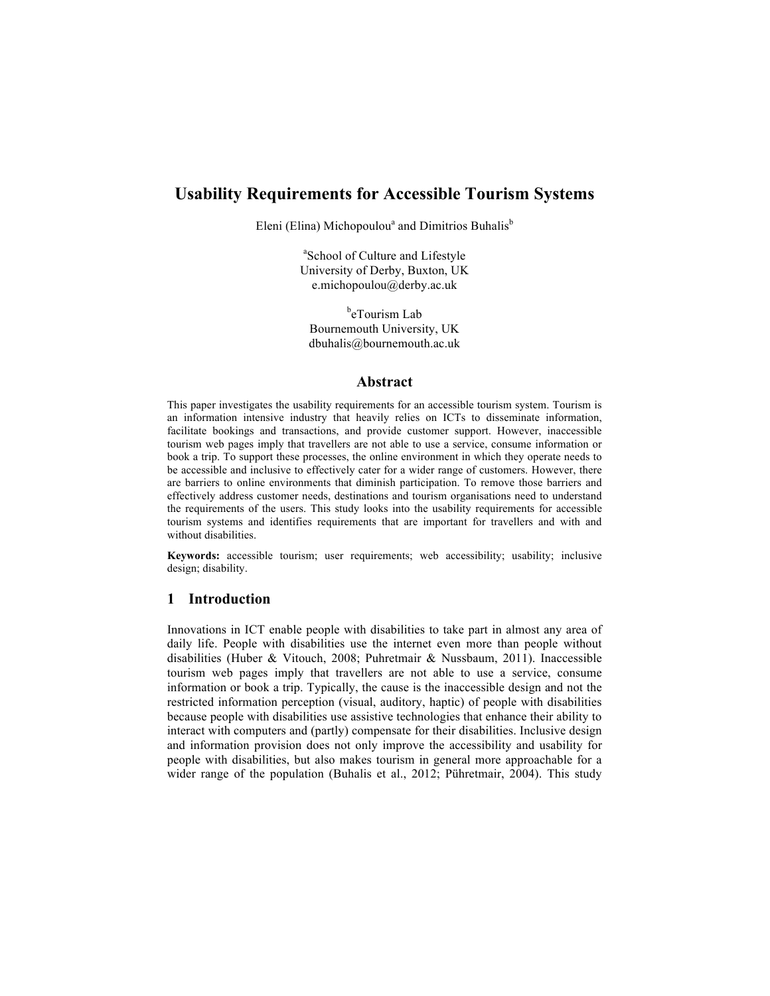# **Usability Requirements for Accessible Tourism Systems**

Eleni (Elina) Michopoulou<sup>a</sup> and Dimitrios Buhalis<sup>b</sup>

a School of Culture and Lifestyle University of Derby, Buxton, UK e.michopoulou@derby.ac.uk

<sup>b</sup>eTourism Lab Bournemouth University, UK dbuhalis@bournemouth.ac.uk

#### **Abstract**

This paper investigates the usability requirements for an accessible tourism system. Tourism is an information intensive industry that heavily relies on ICTs to disseminate information, facilitate bookings and transactions, and provide customer support. However, inaccessible tourism web pages imply that travellers are not able to use a service, consume information or book a trip. To support these processes, the online environment in which they operate needs to be accessible and inclusive to effectively cater for a wider range of customers. However, there are barriers to online environments that diminish participation. To remove those barriers and effectively address customer needs, destinations and tourism organisations need to understand the requirements of the users. This study looks into the usability requirements for accessible tourism systems and identifies requirements that are important for travellers and with and without disabilities.

**Keywords:** accessible tourism; user requirements; web accessibility; usability; inclusive design; disability.

### **1 Introduction**

Innovations in ICT enable people with disabilities to take part in almost any area of daily life. People with disabilities use the internet even more than people without disabilities (Huber & Vitouch, 2008; Puhretmair & Nussbaum, 2011). Inaccessible tourism web pages imply that travellers are not able to use a service, consume information or book a trip. Typically, the cause is the inaccessible design and not the restricted information perception (visual, auditory, haptic) of people with disabilities because people with disabilities use assistive technologies that enhance their ability to interact with computers and (partly) compensate for their disabilities. Inclusive design and information provision does not only improve the accessibility and usability for people with disabilities, but also makes tourism in general more approachable for a wider range of the population (Buhalis et al., 2012; Pühretmair, 2004). This study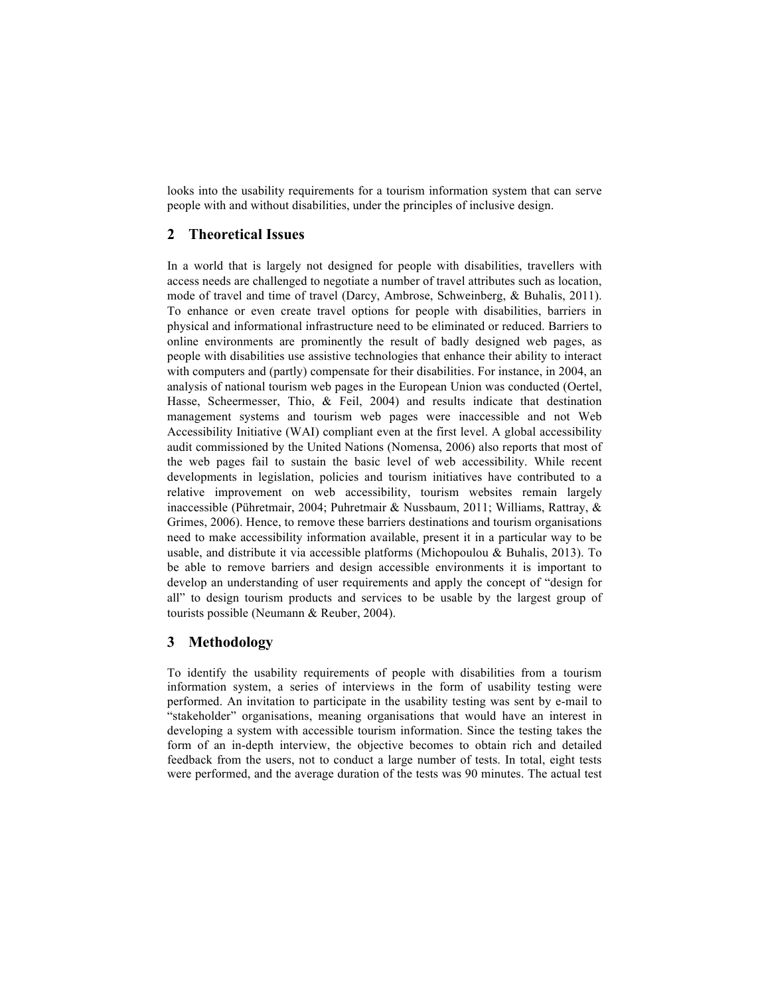looks into the usability requirements for a tourism information system that can serve people with and without disabilities, under the principles of inclusive design.

# **2 Theoretical Issues**

In a world that is largely not designed for people with disabilities, travellers with access needs are challenged to negotiate a number of travel attributes such as location, mode of travel and time of travel (Darcy, Ambrose, Schweinberg, & Buhalis, 2011). To enhance or even create travel options for people with disabilities, barriers in physical and informational infrastructure need to be eliminated or reduced. Barriers to online environments are prominently the result of badly designed web pages, as people with disabilities use assistive technologies that enhance their ability to interact with computers and (partly) compensate for their disabilities. For instance, in 2004, an analysis of national tourism web pages in the European Union was conducted (Oertel, Hasse, Scheermesser, Thio, & Feil, 2004) and results indicate that destination management systems and tourism web pages were inaccessible and not Web Accessibility Initiative (WAI) compliant even at the first level. A global accessibility audit commissioned by the United Nations (Nomensa, 2006) also reports that most of the web pages fail to sustain the basic level of web accessibility. While recent developments in legislation, policies and tourism initiatives have contributed to a relative improvement on web accessibility, tourism websites remain largely inaccessible (Pühretmair, 2004; Puhretmair & Nussbaum, 2011; Williams, Rattray, & Grimes, 2006). Hence, to remove these barriers destinations and tourism organisations need to make accessibility information available, present it in a particular way to be usable, and distribute it via accessible platforms (Michopoulou & Buhalis, 2013). To be able to remove barriers and design accessible environments it is important to develop an understanding of user requirements and apply the concept of "design for all" to design tourism products and services to be usable by the largest group of tourists possible (Neumann & Reuber, 2004).

### **3 Methodology**

To identify the usability requirements of people with disabilities from a tourism information system, a series of interviews in the form of usability testing were performed. An invitation to participate in the usability testing was sent by e-mail to "stakeholder" organisations, meaning organisations that would have an interest in developing a system with accessible tourism information. Since the testing takes the form of an in-depth interview, the objective becomes to obtain rich and detailed feedback from the users, not to conduct a large number of tests. In total, eight tests were performed, and the average duration of the tests was 90 minutes. The actual test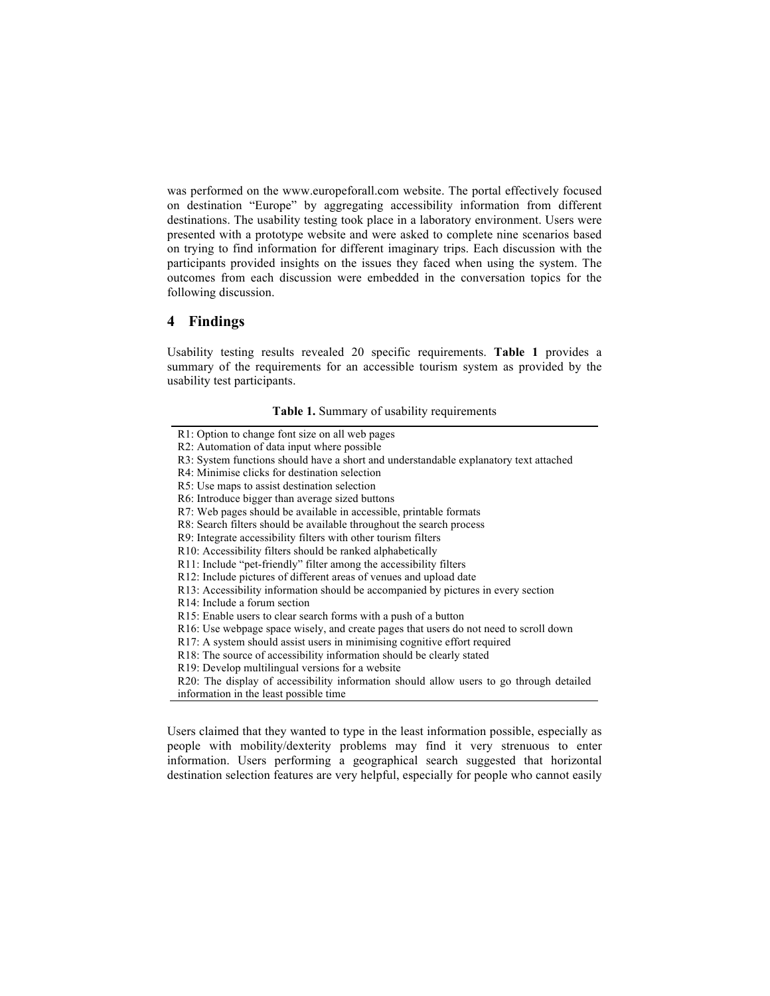was performed on the www.europeforall.com website. The portal effectively focused on destination "Europe" by aggregating accessibility information from different destinations. The usability testing took place in a laboratory environment. Users were presented with a prototype website and were asked to complete nine scenarios based on trying to find information for different imaginary trips. Each discussion with the participants provided insights on the issues they faced when using the system. The outcomes from each discussion were embedded in the conversation topics for the following discussion.

### **4 Findings**

Usability testing results revealed 20 specific requirements. **Table 1** provides a summary of the requirements for an accessible tourism system as provided by the usability test participants.

#### **Table 1.** Summary of usability requirements

R18: The source of accessibility information should be clearly stated

Users claimed that they wanted to type in the least information possible, especially as people with mobility/dexterity problems may find it very strenuous to enter information. Users performing a geographical search suggested that horizontal destination selection features are very helpful, especially for people who cannot easily

R1: Option to change font size on all web pages

R2: Automation of data input where possible

R3: System functions should have a short and understandable explanatory text attached

R4: Minimise clicks for destination selection

R5: Use maps to assist destination selection

R6: Introduce bigger than average sized buttons

R7: Web pages should be available in accessible, printable formats

R8: Search filters should be available throughout the search process

R9: Integrate accessibility filters with other tourism filters

R10: Accessibility filters should be ranked alphabetically

R11: Include "pet-friendly" filter among the accessibility filters

R12: Include pictures of different areas of venues and upload date

R13: Accessibility information should be accompanied by pictures in every section

R14: Include a forum section

R15: Enable users to clear search forms with a push of a button

R16: Use webpage space wisely, and create pages that users do not need to scroll down

R17: A system should assist users in minimising cognitive effort required

R19: Develop multilingual versions for a website

R20: The display of accessibility information should allow users to go through detailed information in the least possible time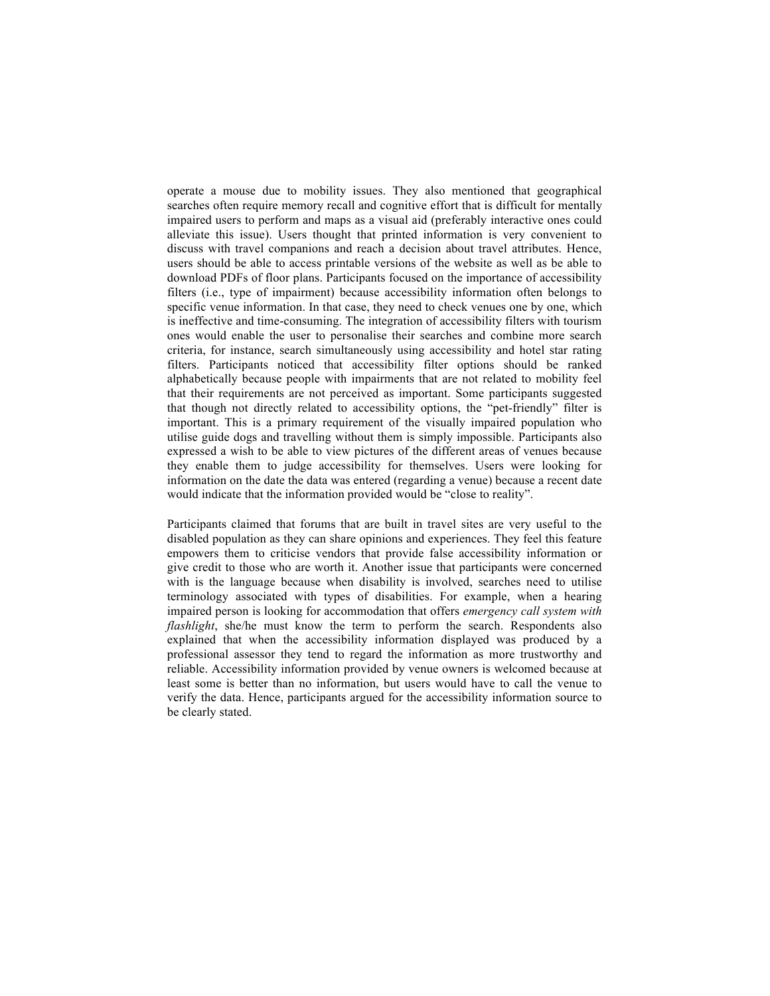operate a mouse due to mobility issues. They also mentioned that geographical searches often require memory recall and cognitive effort that is difficult for mentally impaired users to perform and maps as a visual aid (preferably interactive ones could alleviate this issue). Users thought that printed information is very convenient to discuss with travel companions and reach a decision about travel attributes. Hence, users should be able to access printable versions of the website as well as be able to download PDFs of floor plans. Participants focused on the importance of accessibility filters (i.e., type of impairment) because accessibility information often belongs to specific venue information. In that case, they need to check venues one by one, which is ineffective and time-consuming. The integration of accessibility filters with tourism ones would enable the user to personalise their searches and combine more search criteria, for instance, search simultaneously using accessibility and hotel star rating filters. Participants noticed that accessibility filter options should be ranked alphabetically because people with impairments that are not related to mobility feel that their requirements are not perceived as important. Some participants suggested that though not directly related to accessibility options, the "pet-friendly" filter is important. This is a primary requirement of the visually impaired population who utilise guide dogs and travelling without them is simply impossible. Participants also expressed a wish to be able to view pictures of the different areas of venues because they enable them to judge accessibility for themselves. Users were looking for information on the date the data was entered (regarding a venue) because a recent date would indicate that the information provided would be "close to reality".

Participants claimed that forums that are built in travel sites are very useful to the disabled population as they can share opinions and experiences. They feel this feature empowers them to criticise vendors that provide false accessibility information or give credit to those who are worth it. Another issue that participants were concerned with is the language because when disability is involved, searches need to utilise terminology associated with types of disabilities. For example, when a hearing impaired person is looking for accommodation that offers *emergency call system with flashlight*, she/he must know the term to perform the search. Respondents also explained that when the accessibility information displayed was produced by a professional assessor they tend to regard the information as more trustworthy and reliable. Accessibility information provided by venue owners is welcomed because at least some is better than no information, but users would have to call the venue to verify the data. Hence, participants argued for the accessibility information source to be clearly stated.